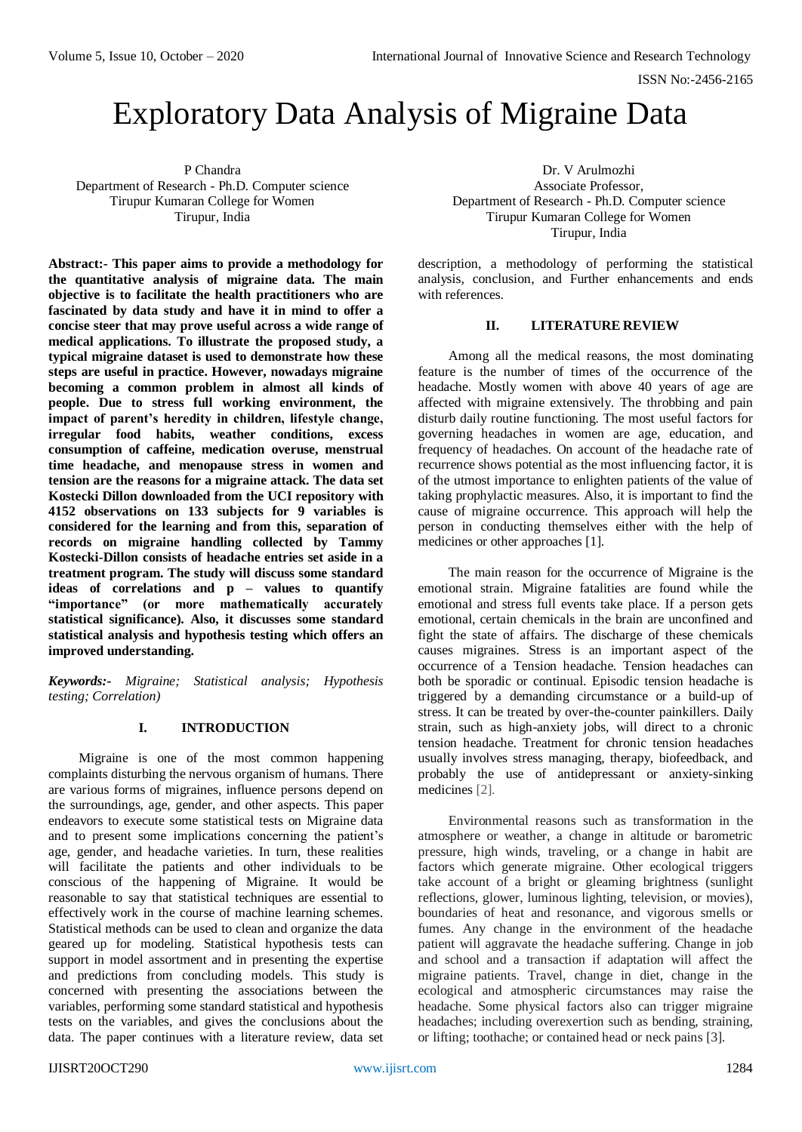# Exploratory Data Analysis of Migraine Data

P Chandra Department of Research - Ph.D. Computer science Tirupur Kumaran College for Women Tirupur, India

**Abstract:- This paper aims to provide a methodology for the quantitative analysis of migraine data. The main objective is to facilitate the health practitioners who are fascinated by data study and have it in mind to offer a concise steer that may prove useful across a wide range of medical applications. To illustrate the proposed study, a typical migraine dataset is used to demonstrate how these steps are useful in practice. However, nowadays migraine becoming a common problem in almost all kinds of people. Due to stress full working environment, the impact of parent's heredity in children, lifestyle change, irregular food habits, weather conditions, excess consumption of caffeine, medication overuse, menstrual time headache, and menopause stress in women and tension are the reasons for a migraine attack. The data set Kostecki Dillon downloaded from the UCI repository with 4152 observations on 133 subjects for 9 variables is considered for the learning and from this, separation of records on migraine handling collected by Tammy Kostecki-Dillon consists of headache entries set aside in a treatment program. The study will discuss some standard ideas of correlations and p – values to quantify "importance" (or more mathematically accurately statistical significance). Also, it discusses some standard statistical analysis and hypothesis testing which offers an improved understanding.** 

*Keywords:- Migraine; Statistical analysis; Hypothesis testing; Correlation)*

# **I. INTRODUCTION**

Migraine is one of the most common happening complaints disturbing the nervous organism of humans. There are various forms of migraines, influence persons depend on the surroundings, age, gender, and other aspects. This paper endeavors to execute some statistical tests on Migraine data and to present some implications concerning the patient's age, gender, and headache varieties. In turn, these realities will facilitate the patients and other individuals to be conscious of the happening of Migraine. It would be reasonable to say that statistical techniques are essential to effectively work in the course of machine learning schemes. Statistical methods can be used to clean and organize the data geared up for modeling. Statistical hypothesis tests can support in model assortment and in presenting the expertise and predictions from concluding models. This study is concerned with presenting the associations between the variables, performing some standard statistical and hypothesis tests on the variables, and gives the conclusions about the data. The paper continues with a literature review, data set

Dr. V Arulmozhi Associate Professor, Department of Research - Ph.D. Computer science Tirupur Kumaran College for Women Tirupur, India

description, a methodology of performing the statistical analysis, conclusion, and Further enhancements and ends with references.

## **II. LITERATURE REVIEW**

Among all the medical reasons, the most dominating feature is the number of times of the occurrence of the headache. Mostly women with above 40 years of age are affected with migraine extensively. The throbbing and pain disturb daily routine functioning. The most useful factors for governing headaches in women are age, education, and frequency of headaches. On account of the headache rate of recurrence shows potential as the most influencing factor, it is of the utmost importance to enlighten patients of the value of taking prophylactic measures. Also, it is important to find the cause of migraine occurrence. This approach will help the person in conducting themselves either with the help of medicines or other approaches [1].

The main reason for the occurrence of Migraine is the emotional strain. Migraine fatalities are found while the emotional and stress full events take place. If a person gets emotional, certain chemicals in the brain are unconfined and fight the state of affairs. The discharge of these chemicals causes migraines. Stress is an important aspect of the occurrence of a Tension headache. Tension headaches can both be sporadic or continual. Episodic tension headache is triggered by a demanding circumstance or a build-up of stress. It can be treated by over-the-counter painkillers. Daily strain, such as high-anxiety jobs, will direct to a chronic tension headache. Treatment for chronic tension headaches usually involves stress managing, therapy, biofeedback, and probably the use of antidepressant or anxiety-sinking medicines [2].

Environmental reasons such as transformation in the atmosphere or weather, a change in altitude or barometric pressure, high winds, traveling, or a change in habit are factors which generate migraine. Other ecological triggers take account of a bright or gleaming brightness (sunlight reflections, glower, luminous lighting, television, or movies), boundaries of heat and resonance, and vigorous smells or fumes. Any change in the environment of the headache patient will aggravate the headache suffering. Change in job and school and a transaction if adaptation will affect the migraine patients. Travel, change in diet, change in the ecological and atmospheric circumstances may raise the headache. Some physical factors also can trigger migraine headaches; including overexertion such as bending, straining, or lifting; toothache; or contained head or neck pains [3].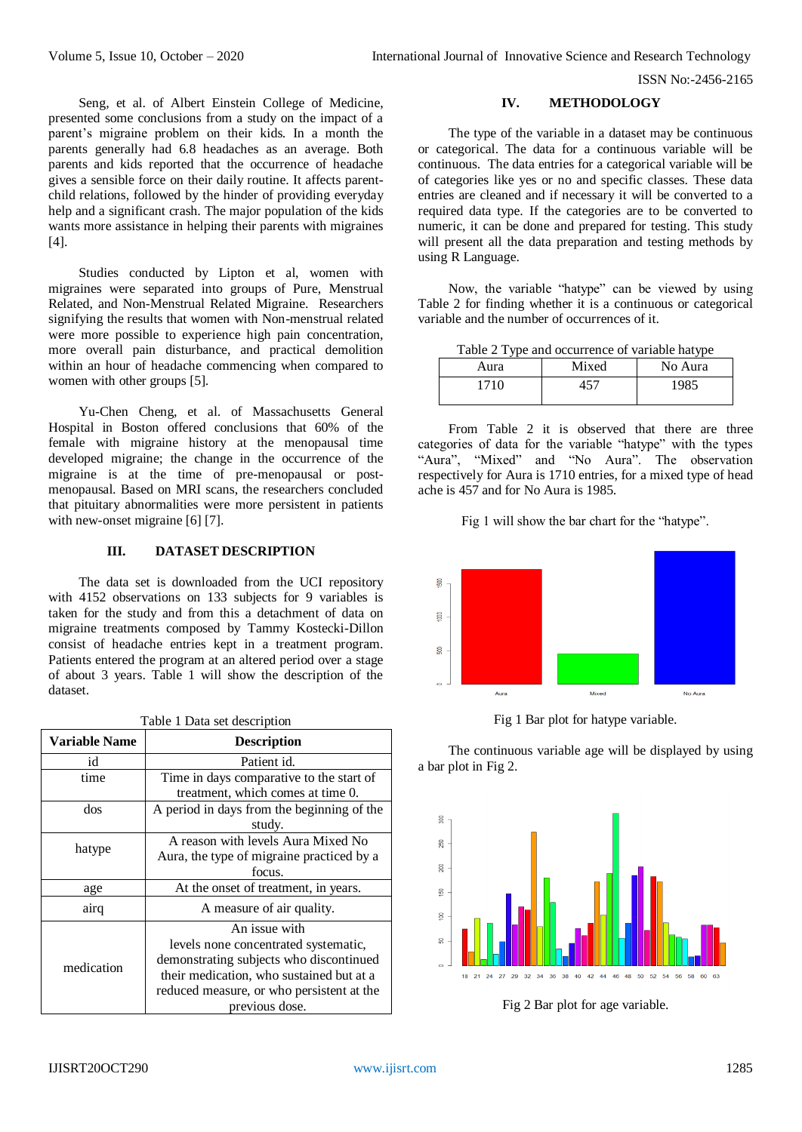Seng, et al. of Albert Einstein College of Medicine, presented some conclusions from a study on the impact of a parent's migraine problem on their kids. In a month the parents generally had 6.8 headaches as an average. Both parents and kids reported that the occurrence of headache gives a sensible force on their daily routine. It affects parentchild relations, followed by the hinder of providing everyday help and a significant crash. The major population of the kids wants more assistance in helping their parents with migraines [4].

Studies conducted by Lipton et al, women with migraines were separated into groups of Pure, Menstrual Related, and Non-Menstrual Related Migraine. Researchers signifying the results that women with Non-menstrual related were more possible to experience high pain concentration, more overall pain disturbance, and practical demolition within an hour of headache commencing when compared to women with other groups [5].

Yu-Chen Cheng, et al. of Massachusetts General Hospital in Boston offered conclusions that 60% of the female with migraine history at the menopausal time developed migraine; the change in the occurrence of the migraine is at the time of pre-menopausal or postmenopausal. Based on MRI scans, the researchers concluded that pituitary abnormalities were more persistent in patients with new-onset migraine [6] [7].

# **III. DATASET DESCRIPTION**

The data set is downloaded from the UCI repository with 4152 observations on 133 subjects for 9 variables is taken for the study and from this a detachment of data on migraine treatments composed by Tammy Kostecki-Dillon consist of headache entries kept in a treatment program. Patients entered the program at an altered period over a stage of about 3 years. Table 1 will show the description of the dataset.

| Table 1 Data set description |  |  |  |  |
|------------------------------|--|--|--|--|
|------------------------------|--|--|--|--|

| <b>Variable Name</b> | <b>Description</b>                         |  |  |  |
|----------------------|--------------------------------------------|--|--|--|
| id                   | Patient id.                                |  |  |  |
| time                 | Time in days comparative to the start of   |  |  |  |
|                      | treatment, which comes at time 0.          |  |  |  |
| dos                  | A period in days from the beginning of the |  |  |  |
|                      | study.                                     |  |  |  |
| hatype               | A reason with levels Aura Mixed No         |  |  |  |
|                      | Aura, the type of migraine practiced by a  |  |  |  |
|                      | focus.                                     |  |  |  |
| age                  | At the onset of treatment, in years.       |  |  |  |
| airq                 | A measure of air quality.                  |  |  |  |
|                      | An issue with                              |  |  |  |
| medication           | levels none concentrated systematic,       |  |  |  |
|                      | demonstrating subjects who discontinued    |  |  |  |
|                      | their medication, who sustained but at a   |  |  |  |
|                      | reduced measure, or who persistent at the  |  |  |  |
|                      | previous dose.                             |  |  |  |

## **IV. METHODOLOGY**

The type of the variable in a dataset may be continuous or categorical. The data for a continuous variable will be continuous. The data entries for a categorical variable will be of categories like yes or no and specific classes. These data entries are cleaned and if necessary it will be converted to a required data type. If the categories are to be converted to numeric, it can be done and prepared for testing. This study will present all the data preparation and testing methods by using R Language.

Now, the variable "hatype" can be viewed by using Table 2 for finding whether it is a continuous or categorical variable and the number of occurrences of it.

Table 2 Type and occurrence of variable hatype

| Aura | Mixed | No Aura |  |
|------|-------|---------|--|
| 1710 | 157   | 1985    |  |

From Table 2 it is observed that there are three categories of data for the variable "hatype" with the types "Aura", "Mixed" and "No Aura". The observation respectively for Aura is 1710 entries, for a mixed type of head ache is 457 and for No Aura is 1985.

Fig 1 will show the bar chart for the "hatype".



Fig 1 Bar plot for hatype variable.

The continuous variable age will be displayed by using a bar plot in Fig 2.



Fig 2 Bar plot for age variable.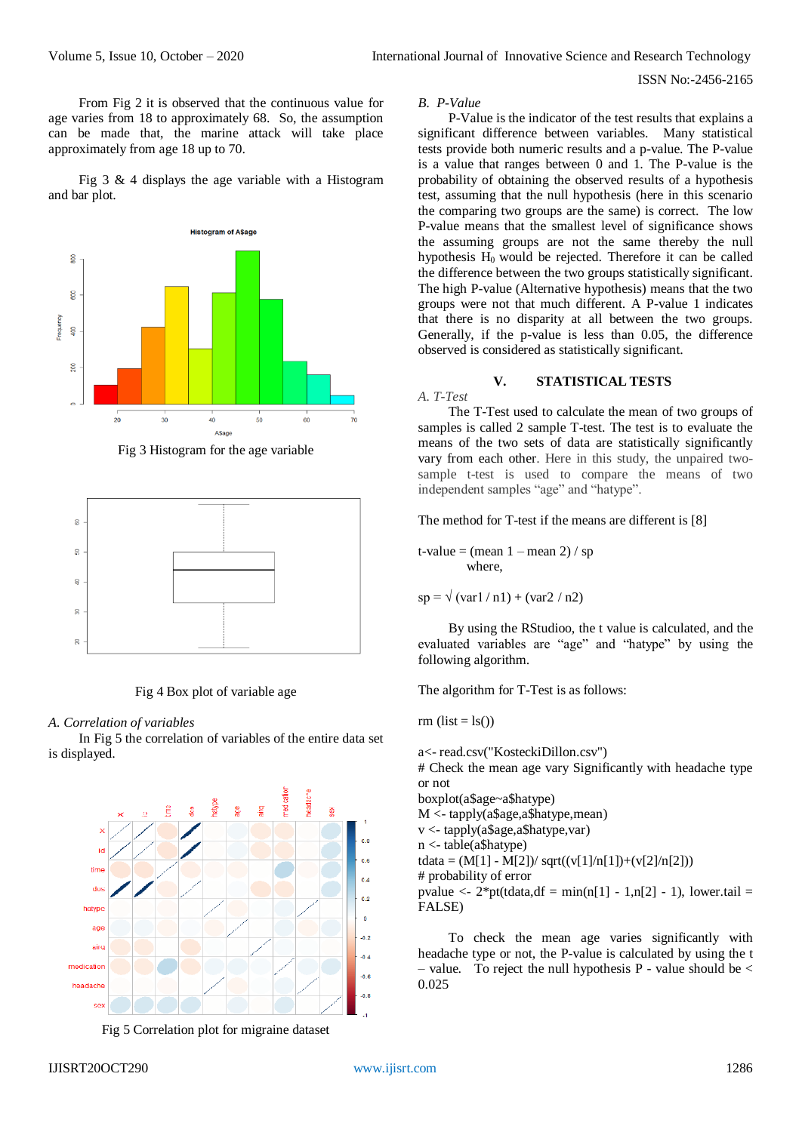From Fig 2 it is observed that the continuous value for age varies from 18 to approximately 68. So, the assumption can be made that, the marine attack will take place approximately from age 18 up to 70.

Fig 3  $\&$  4 displays the age variable with a Histogram and bar plot.



Fig 3 Histogram for the age variable



Fig 4 Box plot of variable age

# *A. Correlation of variables*

In Fig 5 the correlation of variables of the entire data set is displayed.



Fig 5 Correlation plot for migraine dataset

#### *B. P-Value*

P-Value is the indicator of the test results that explains a significant difference between variables. Many statistical tests provide both numeric results and a p-value. The P-value is a value that ranges between 0 and 1. The P-value is the probability of obtaining the observed results of a hypothesis test, assuming that the null hypothesis (here in this scenario the comparing two groups are the same) is correct. The low P-value means that the smallest level of significance shows the assuming groups are not the same thereby the null hypothesis  $H_0$  would be rejected. Therefore it can be called the difference between the two groups statistically significant. The high P-value (Alternative hypothesis) means that the two groups were not that much different. A P-value 1 indicates that there is no disparity at all between the two groups. Generally, if the p-value is less than 0.05, the difference observed is considered as statistically significant.

## **V. STATISTICAL TESTS**

*A. T-Test*

The T-Test used to calculate the mean of two groups of samples is called 2 sample T-test. The test is to evaluate the means of the two sets of data are statistically significantly vary from each other. Here in this study, the unpaired twosample t-test is used to compare the means of two independent samples "age" and "hatype".

The method for T-test if the means are different is [8]

t-value = (mean  $1 -$ mean  $2$ ) / sp where,

 $sp = \sqrt{(var1/n1) + (var2/n2)}$ 

By using the RStudioo, the t value is calculated, and the evaluated variables are "age" and "hatype" by using the following algorithm.

The algorithm for T-Test is as follows:

rm  $(list = ls()$ 

a<- read.csv("KosteckiDillon.csv") # Check the mean age vary Significantly with headache type or not boxplot(a\$age~a\$hatype) M <- tapply(a\$age,a\$hatype,mean) v <- tapply(a\$age,a\$hatype,var) n <- table(a\$hatype) tdata =  $(M[1] - M[2])$ / sqrt $((v[1]/n[1]) + (v[2]/n[2]))$ # probability of error pvalue  $\langle$  - 2\*pt(tdata,df = min(n[1] - 1,n[2] - 1), lower.tail = FALSE)

To check the mean age varies significantly with headache type or not, the P-value is calculated by using the t – value. To reject the null hypothesis P - value should be  $\lt$ 0.025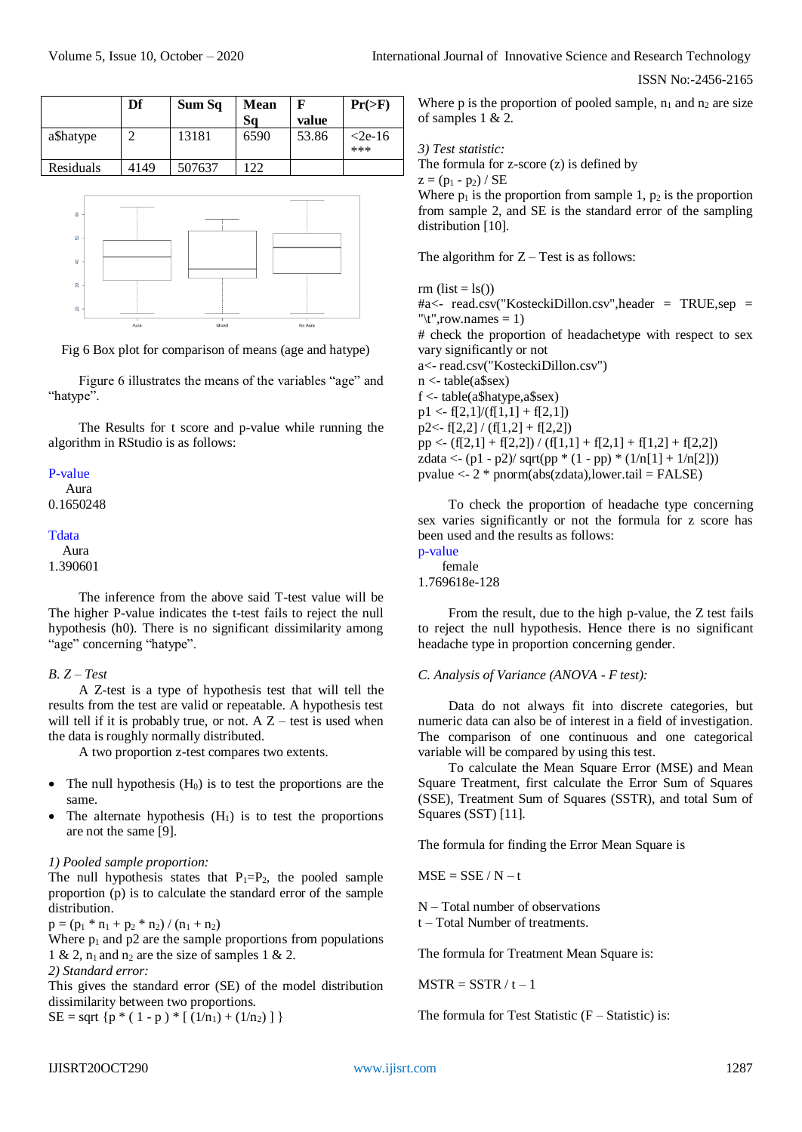|           | Df   | Sum Sq | <b>Mean</b> | F     | $Pr(>=F)$        |
|-----------|------|--------|-------------|-------|------------------|
|           |      |        | Sa          | value |                  |
| a\$hatype |      | 13181  | 6590        | 53.86 | $<$ 2e-16<br>*** |
| Residuals | 4149 | 507637 | 122         |       |                  |



Fig 6 Box plot for comparison of means (age and hatype)

Figure 6 illustrates the means of the variables "age" and "hatype".

The Results for t score and p-value while running the algorithm in RStudio is as follows:

## P-value

 Aura 0.1650248

#### **T**data

 Aura 1.390601

The inference from the above said T-test value will be The higher P-value indicates the t-test fails to reject the null hypothesis (h0). There is no significant dissimilarity among "age" concerning "hatype".

# *B. Z – Test*

A Z-test is a type of hypothesis test that will tell the results from the test are valid or repeatable. A hypothesis test will tell if it is probably true, or not. A  $Z$  – test is used when the data is roughly normally distributed.

A two proportion z-test compares two extents.

- The null hypothesis  $(H_0)$  is to test the proportions are the same.
- The alternate hypothesis  $(H_1)$  is to test the proportions are not the same [9].

#### *1) Pooled sample proportion:*

The null hypothesis states that  $P_1 = P_2$ , the pooled sample proportion (p) is to calculate the standard error of the sample distribution.

 $p = (p_1 * n_1 + p_2 * n_2) / (n_1 + n_2)$ 

Where  $p_1$  and  $p_2$  are the sample proportions from populations 1 & 2,  $n_1$  and  $n_2$  are the size of samples 1 & 2. *2) Standard error:*

This gives the standard error (SE) of the model distribution dissimilarity between two proportions.

SE = sqrt {p \* ( 1 - p ) \* [  $(1/n_1) + (1/n_2)$  ] }

Where p is the proportion of pooled sample,  $n_1$  and  $n_2$  are size of samples 1 & 2.

*3) Test statistic:*

The formula for z-score (z) is defined by

 $z = (p_1 - p_2) / SE$ 

Where  $p_1$  is the proportion from sample 1,  $p_2$  is the proportion from sample 2, and SE is the standard error of the sampling distribution [10].

The algorithm for  $Z - Test$  is as follows:

rm  $(list = ls()$ #a<- read.csv("KosteckiDillon.csv",header = TRUE,sep = " $\text{tr}$ ",row.names = 1) # check the proportion of headachetype with respect to sex vary significantly or not a<- read.csv("KosteckiDillon.csv") n <- table(a\$sex) f <- table(a\$hatype,a\$sex)  $p1 \leq f[2,1]/(f[1,1] + f[2,1])$  $p2 \leftarrow f[2,2] / (f[1,2] + f[2,2])$  $pp \leftarrow (f[2,1] + f[2,2]) / (f[1,1] + f[2,1] + f[1,2] + f[2,2])$ zdata <-  $(p1 - p2) / \sqrt{p} (1 - pp) * (1/n[1] + 1/n[2]))$ pvalue  $\langle -2 * \text{pnorm}(\text{abs}(\text{zdata}), \text{lower}.\text{tail} = \text{FALSE})$ 

To check the proportion of headache type concerning sex varies significantly or not the formula for z score has been used and the results as follows: p-value

```
 female
```
1.769618e-128

From the result, due to the high p-value, the Z test fails to reject the null hypothesis. Hence there is no significant headache type in proportion concerning gender.

#### *C. Analysis of Variance (ANOVA - F test):*

Data do not always fit into discrete categories, but numeric data can also be of interest in a field of investigation. The comparison of one continuous and one categorical variable will be compared by using this test.

To calculate the Mean Square Error (MSE) and Mean Square Treatment, first calculate the Error Sum of Squares (SSE), Treatment Sum of Squares (SSTR), and total Sum of Squares (SST) [11].

The formula for finding the Error Mean Square is

 $MSE = SSE / N - t$ 

N – Total number of observations

t – Total Number of treatments.

The formula for Treatment Mean Square is:

 $MSTR = SSTR / t - 1$ 

The formula for Test Statistic  $(F - Statistic)$  is: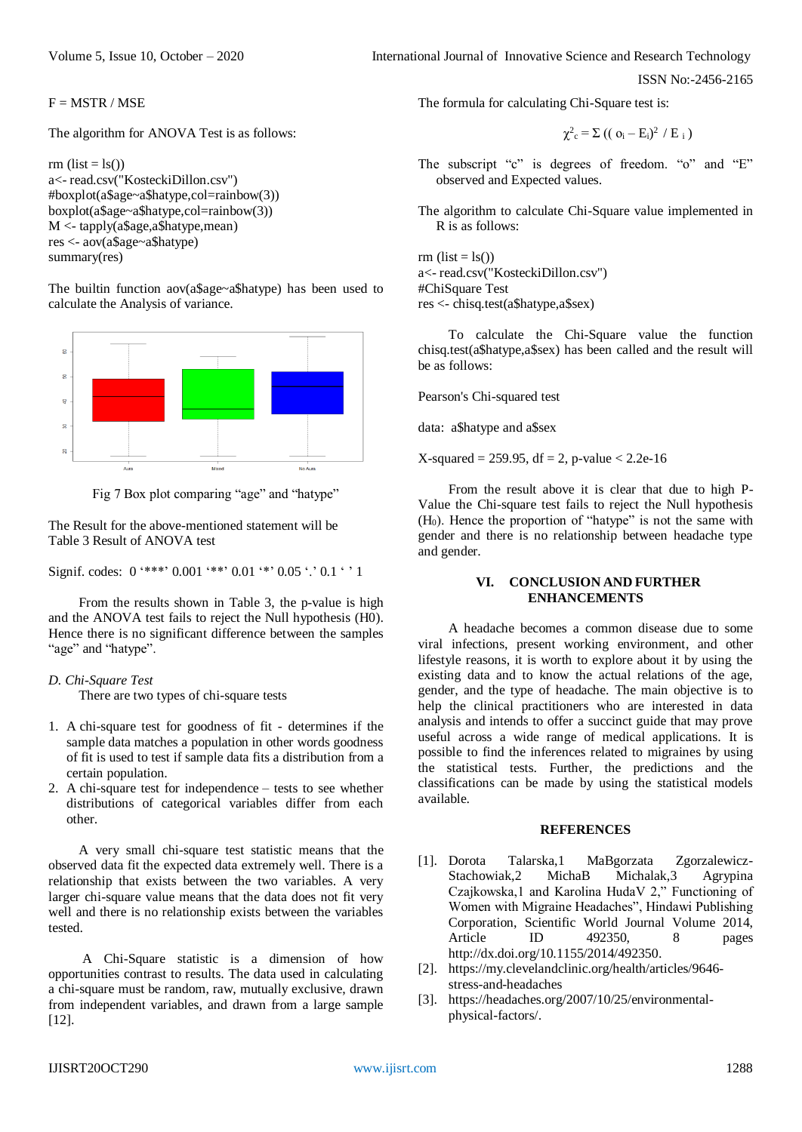Volume 5, Issue 10, October – 2020 **International Journal of Innovative Science and Research Technology** 

ISSN No:-2456-2165

 $F = MSTR / MSE$ 

The algorithm for ANOVA Test is as follows:

```
rm (list = ls()a<- read.csv("KosteckiDillon.csv")
#boxplot(a$age~a$hatype,col=rainbow(3))
boxplot(a$age~a$hatype,col=rainbow(3))
M <- tapply(a$age,a$hatype,mean)
res <- aov(a$age~a$hatype)
summary(res)
```
The builtin function aov(a\$age~a\$hatype) has been used to calculate the Analysis of variance.



Fig 7 Box plot comparing "age" and "hatype"

The Result for the above-mentioned statement will be Table 3 Result of ANOVA test

Signif. codes:  $0$  '\*\*\*'  $0.001$  '\*\*'  $0.01$  '\*'  $0.05$  '.'  $0.1$  ' ' 1

From the results shown in Table 3, the p-value is high and the ANOVA test fails to reject the Null hypothesis (H0). Hence there is no significant difference between the samples "age" and "hatype".

## *D. Chi-Square Test*

There are two types of chi-square tests

- 1. A chi-square test for goodness of fit determines if the sample data matches a population in other words goodness of fit is used to test if sample data fits a distribution from a certain population.
- 2. A chi-square test for independence tests to see whether distributions of categorical variables differ from each other.

A very small chi-square test statistic means that the observed data fit the expected data extremely well. There is a relationship that exists between the two variables. A very larger chi-square value means that the data does not fit very well and there is no relationship exists between the variables tested.

A Chi-Square statistic is a dimension of how opportunities contrast to results. The data used in calculating a chi-square must be random, raw, mutually exclusive, drawn from independent variables, and drawn from a large sample [12].

The formula for calculating Chi-Square test is:

$$
\chi^2_c = \Sigma \left( (\sigma_i - E_i)^2 / E_i \right)
$$

The subscript "c" is degrees of freedom. "o" and "E" observed and Expected values.

The algorithm to calculate Chi-Square value implemented in R is as follows:

rm  $(list = ls()$ a<- read.csv("KosteckiDillon.csv") #ChiSquare Test res <- chisq.test(a\$hatype,a\$sex)

To calculate the Chi-Square value the function chisq.test(a\$hatype,a\$sex) has been called and the result will be as follows:

Pearson's Chi-squared test

data: a\$hatype and a\$sex

 $X$ -squared = 259.95, df = 2, p-value < 2.2e-16

From the result above it is clear that due to high P-Value the Chi-square test fails to reject the Null hypothesis  $(H<sub>0</sub>)$ . Hence the proportion of "hatype" is not the same with gender and there is no relationship between headache type and gender.

# **VI. CONCLUSION AND FURTHER ENHANCEMENTS**

A headache becomes a common disease due to some viral infections, present working environment, and other lifestyle reasons, it is worth to explore about it by using the existing data and to know the actual relations of the age, gender, and the type of headache. The main objective is to help the clinical practitioners who are interested in data analysis and intends to offer a succinct guide that may prove useful across a wide range of medical applications. It is possible to find the inferences related to migraines by using the statistical tests. Further, the predictions and the classifications can be made by using the statistical models available.

#### **REFERENCES**

- [1]. Dorota Talarska,1 MaBgorzata Zgorzalewicz-Stachowiak,2 MichaB Michalak,3 Agrypina Czajkowska,1 and Karolina HudaV 2," Functioning of Women with Migraine Headaches", Hindawi Publishing Corporation, Scientific World Journal Volume 2014, Article ID 492350, 8 pages [http://dx.doi.org/10.1155/2014/492350.](http://dx.doi.org/10.1155/2014/492350)
- [2]. [https://my.clevelandclinic.org/health/articles/9646](https://my.clevelandclinic.org/health/articles/9646-stress-and-headaches) [stress-and-headaches](https://my.clevelandclinic.org/health/articles/9646-stress-and-headaches)
- [3]. [https://headaches.org/2007/10/25/environmental](https://headaches.org/2007/10/25/environmental-physical-factors/)[physical-factors/.](https://headaches.org/2007/10/25/environmental-physical-factors/)